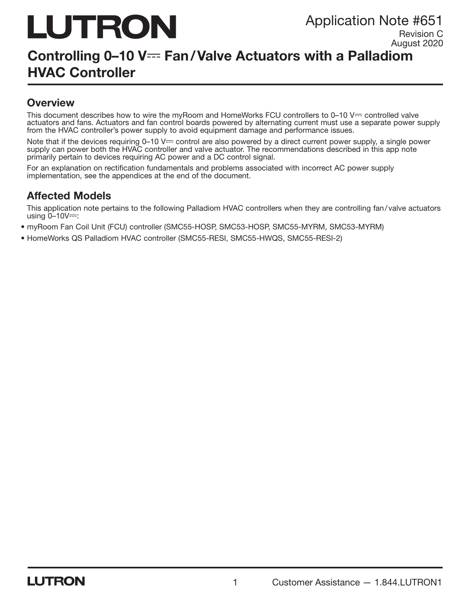# LUTRON

Application Note #651

Revision C August 2020

# Controlling 0-10 V--- Fan/Valve Actuators with a Palladiom HVAC Controller

### **Overview**

This document describes how to wire the myRoom and HomeWorks FCU controllers to  $0-10$  V $=$  controlled valve actuators and fans. Actuators and fan control boards powered by alternating current must use a separate power supply from the HVAC controller's power supply to avoid equipment damage and performance issues.

Note that if the devices requiring  $0-10$  V $=$  control are also powered by a direct current power supply, a single power supply can power both the HVAC controller and valve actuator. The recommendations described in this app note primarily pertain to devices requiring AC power and a DC control signal.

For an explanation on rectification fundamentals and problems associated with incorrect AC power supply implementation, see the appendices at the end of the document.

## Affected Models

This application note pertains to the following Palladiom HVAC controllers when they are controlling fan/ valve actuators using  $0 - 10V =$ :

• myRoom Fan Coil Unit (FCU) controller (SMC55-HOSP, SMC53-HOSP, SMC55-MYRM, SMC53-MYRM)

• HomeWorks QS Palladiom HVAC controller (SMC55-RESI, SMC55-HWQS, SMC55-RESI-2)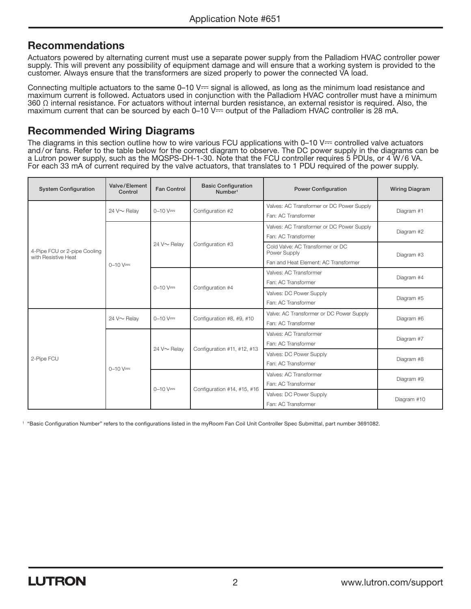#### **Recommendations**

Actuators powered by alternating current must use a separate power supply from the Palladiom HVAC controller power supply. This will prevent any possibility of equipment damage and will ensure that a working system is provided to the customer. Always ensure that the transformers are sized properly to power the connected VA load.

Connecting multiple actuators to the same 0-10 V== signal is allowed, as long as the minimum load resistance and maximum current is followed. Actuators used in conjunction with the Palladiom HVAC controller must have a minimum 360  $\Omega$  internal resistance. For actuators without internal burden resistance, an external resistor is required. Also, the maximum current that can be sourced by each 0–10 V<sup>---</sup> output of the Palladiom HVAC controller is 28 mA.

#### Recommended Wiring Diagrams

The diagrams in this section outline how to wire various FCU applications with  $0-10$  V $=$  controlled valve actuators and/or fans. Refer to the table below for the correct diagram to observe. The DC power supply in the diagrams can be a Lutron power supply, such as the MQSPS-DH-1-30. Note that the FCU controller requires 5 PDUs, or 4 W/6 VA. For each 33 mA of current required by the valve actuators, that translates to 1 PDU required of the power supply.

| <b>System Configuration</b>                         | Valve/Element<br>Control | Fan Control | <b>Basic Configuration</b><br>Number <sup>1</sup> | <b>Power Configuration</b>                                                               | <b>Wiring Diagram</b> |
|-----------------------------------------------------|--------------------------|-------------|---------------------------------------------------|------------------------------------------------------------------------------------------|-----------------------|
| 4-Pipe FCU or 2-pipe Cooling<br>with Resistive Heat | 24 $V \sim$ Relav        | $0 - 10$ V= | Configuration #2                                  | Valves: AC Transformer or DC Power Supply<br>Fan: AC Transformer                         | Diagram #1            |
|                                                     | $0 - 10$ V=              | 24 V~ Relav | Configuration #3                                  | Valves: AC Transformer or DC Power Supply<br>Fan: AC Transformer                         | Diagram #2            |
|                                                     |                          |             |                                                   | Cold Valve: AC Transformer or DC<br>Power Supply<br>Fan and Heat Element: AC Transformer | Diagram #3            |
|                                                     |                          | $0 - 10$ V= | Configuration #4                                  | Valves: AC Transformer<br>Fan: AC Transformer                                            | Diagram #4            |
|                                                     |                          |             |                                                   | Valves: DC Power Supply<br>Fan: AC Transformer                                           | Diagram #5            |
| 2-Pipe FCU                                          | 24 V~ Relav              | $0 - 10$ V= | Configuration #8, #9, #10                         | Valve: AC Transformer or DC Power Supply<br>Fan: AC Transformer                          | Diagram #6            |
|                                                     | $0 - 10$ V=              | 24 V~ Relav | Configuration #11, #12, #13                       | Valves: AC Transformer<br>Fan: AC Transformer                                            | Diagram #7            |
|                                                     |                          |             |                                                   | Valves: DC Power Supply<br>Fan: AC Transformer                                           | Diagram #8            |
|                                                     |                          | $0 - 10$ V= | Configuration #14, #15, #16                       | Valves: AC Transformer<br>Fan: AC Transformer                                            | Diagram #9            |
|                                                     |                          |             |                                                   | Valves: DC Power Supply<br>Fan: AC Transformer                                           | Diagram #10           |

1 "Basic Configuration Number" refers to the configurations listed in the myRoom Fan Coil Unit Controller Spec Submittal, part number 3691082.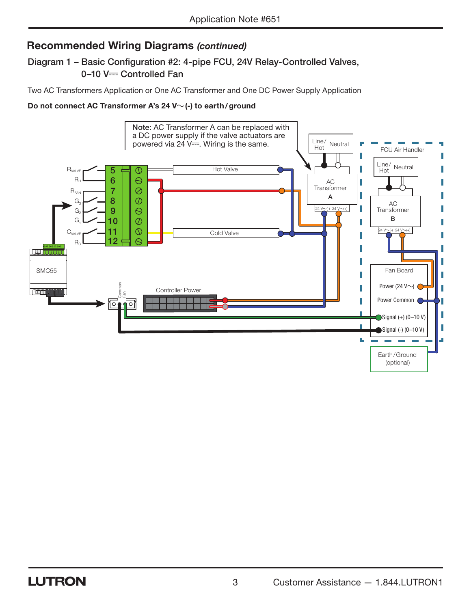#### Diagram 1 – Basic Configuration #2: 4-pipe FCU, 24V Relay-Controlled Valves, 0-10 V- Controlled Fan

Two AC Transformers Application or One AC Transformer and One DC Power Supply Application

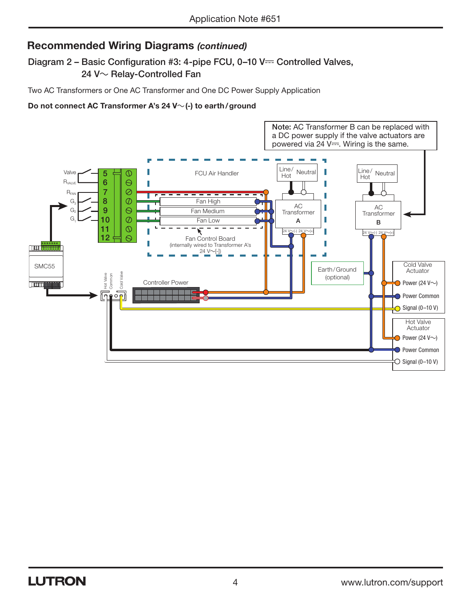#### Diagram 2 – Basic Configuration #3: 4-pipe FCU,  $0-10$  V= Controlled Valves, 24 V $\sim$  Relay-Controlled Fan

Two AC Transformers or One AC Transformer and One DC Power Supply Application

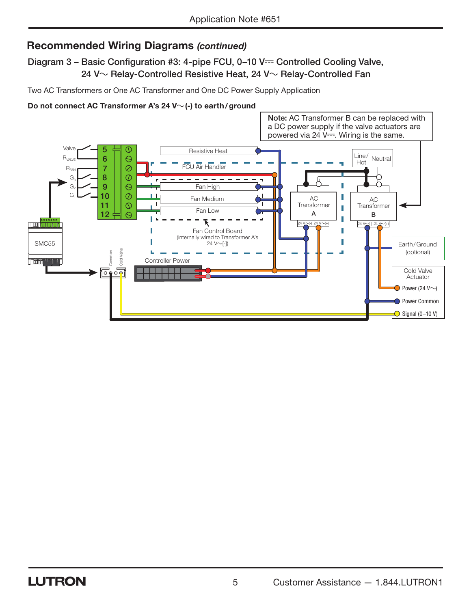Diagram 3 – Basic Configuration #3: 4-pipe FCU,  $0-10$  V $=$  Controlled Cooling Valve, 24 V $\sim$  Relay-Controlled Resistive Heat, 24 V $\sim$  Relay-Controlled Fan

Two AC Transformers or One AC Transformer and One DC Power Supply Application

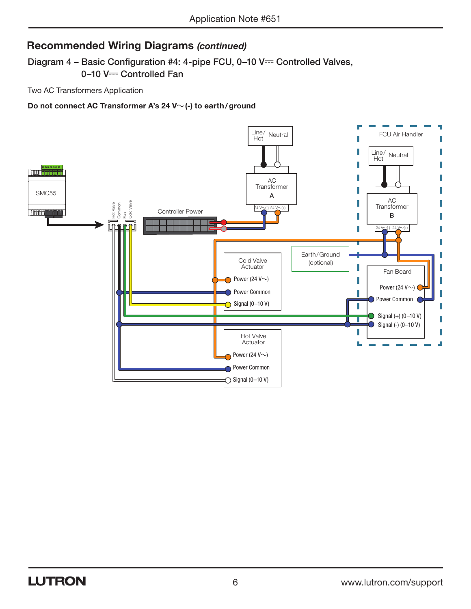Diagram 4 - Basic Configuration #4: 4-pipe FCU, 0-10 V== Controlled Valves, 0-10 V- Controlled Fan

Two AC Transformers Application

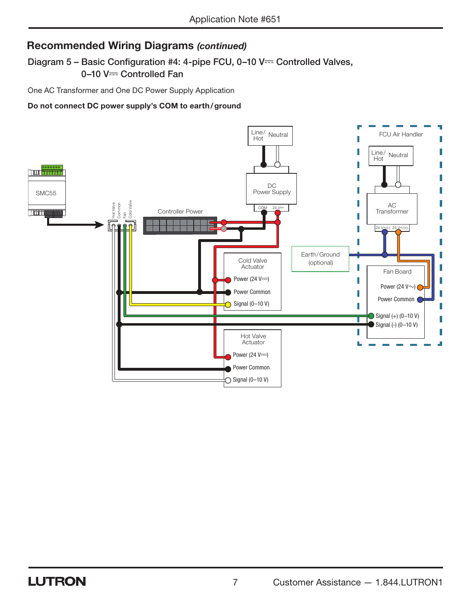Diagram 5 - Basic Configuration #4: 4-pipe FCU,  $0-10$  V== Controlled Valves, 0-10 V- Controlled Fan

One AC Transformer and One DC Power Supply Application

#### Do not connect DC power supply's COM to earth/ground

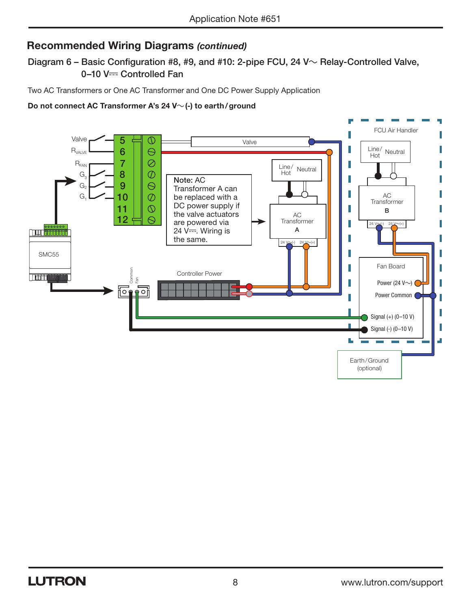Diagram 6 – Basic Configuration #8, #9, and #10: 2-pipe FCU, 24 V $\sim$  Relay-Controlled Valve, 0-10 V- Controlled Fan

Two AC Transformers or One AC Transformer and One DC Power Supply Application

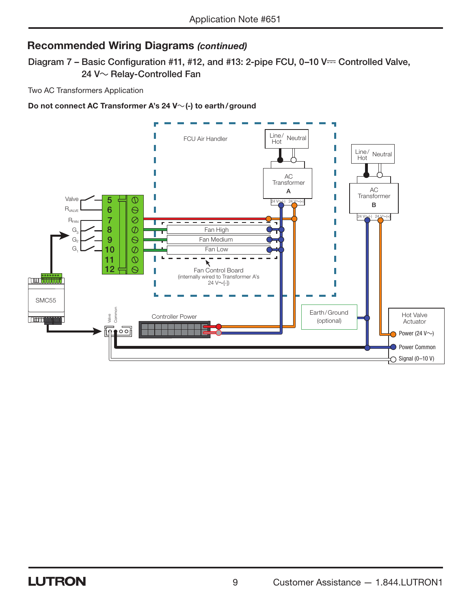Diagram 7 - Basic Configuration #11, #12, and #13: 2-pipe FCU, 0-10 V== Controlled Valve, 24 V~ Relay-Controlled Fan

Two AC Transformers Application

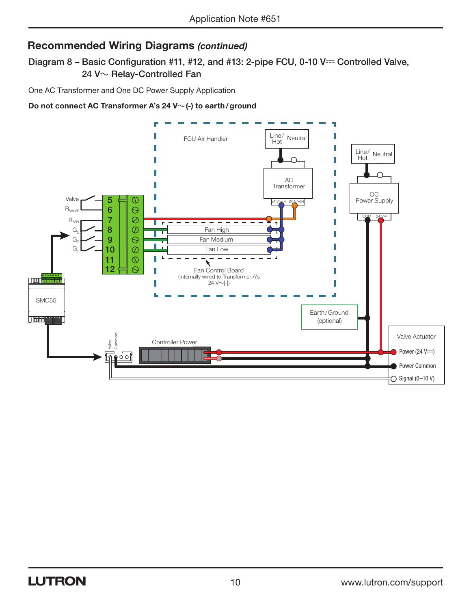Diagram 8 – Basic Configuration #11, #12, and #13: 2-pipe FCU, 0-10 V== Controlled Valve, 24 V $\sim$  Relay-Controlled Fan

One AC Transformer and One DC Power Supply Application

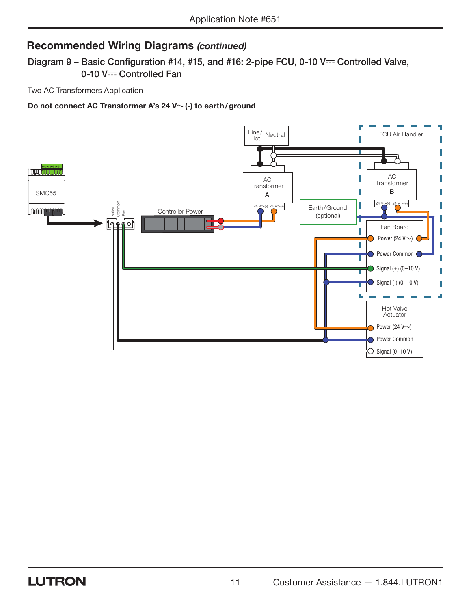Diagram 9 – Basic Configuration #14, #15, and #16: 2-pipe FCU, 0-10 V== Controlled Valve, 0-10 V== Controlled Fan

Two AC Transformers Application

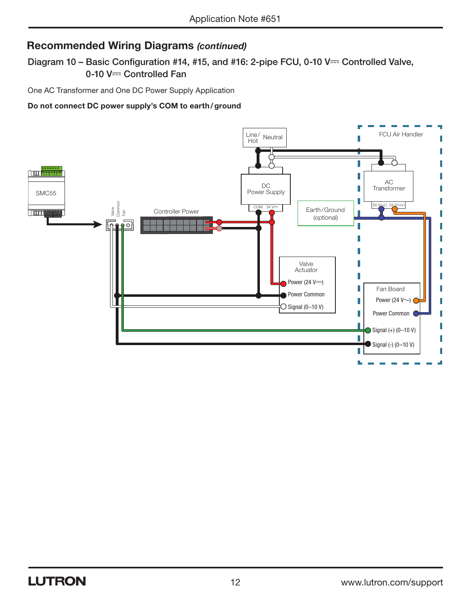Diagram 10 - Basic Configuration #14, #15, and #16: 2-pipe FCU, 0-10 V== Controlled Valve, 0-10 V- Controlled Fan

One AC Transformer and One DC Power Supply Application

#### Do not connect DC power supply's COM to earth/ground

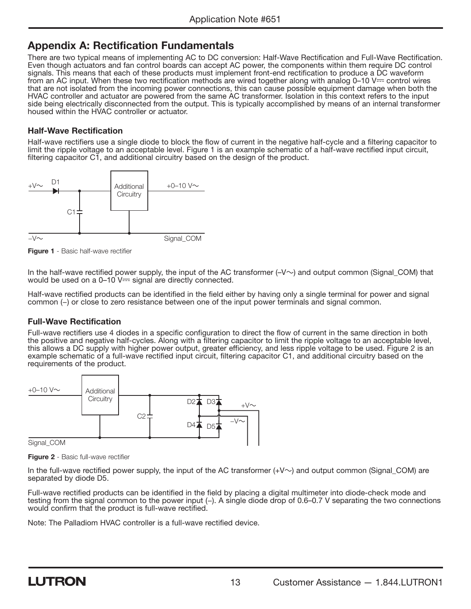#### Appendix A: Rectification Fundamentals

There are two typical means of implementing AC to DC conversion: Half-Wave Rectification and Full-Wave Rectification. Even though actuators and fan control boards can accept AC power, the components within them require DC control signals. This means that each of these products must implement front-end rectification to produce a DC waveform from an AC input. When these two rectification methods are wired together along with analog 0–10 V== control wires that are not isolated from the incoming power connections, this can cause possible equipment damage when both the HVAC controller and actuator are powered from the same AC transformer. Isolation in this context refers to the input side being electrically disconnected from the output. This is typically accomplished by means of an internal transformer housed within the HVAC controller or actuator.

#### Half-Wave Rectification

Half-wave rectifiers use a single diode to block the flow of current in the negative half-cycle and a filtering capacitor to limit the ripple voltage to an acceptable level. Figure 1 is an example schematic of a half-wave rectified input circuit, filtering capacitor C1, and additional circuitry based on the design of the product.



**Figure 1** - Basic half-wave rectifier

In the half-wave rectified power supply, the input of the AC transformer  $(-V \sim)$  and output common (Signal\_COM) that would be used on a  $0-10$  V $=$  signal are directly connected.

Half-wave rectified products can be identified in the field either by having only a single terminal for power and signal common (−) or close to zero resistance between one of the input power terminals and signal common.

#### Full-Wave Rectification

Full-wave rectifiers use 4 diodes in a specific configuration to direct the flow of current in the same direction in both the positive and negative half-cycles. Along with a filtering capacitor to limit the ripple voltage to an acceptable level, this allows a DC supply with higher power output, greater efficiency, and less ripple voltage to be used. Figure 2 is an example schematic of a full-wave rectified input circuit, filtering capacitor C1, and additional circuitry based on the requirements of the product.



Figure 2 - Basic full-wave rectifier

In the full-wave rectified power supply, the input of the AC transformer  $(+V\sim)$  and output common (Signal\_COM) are separated by diode D5.

Full-wave rectified products can be identified in the field by placing a digital multimeter into diode-check mode and testing from the signal common to the power input (−). A single diode drop of 0.6–0.7 V separating the two connections would confirm that the product is full-wave rectified.

Note: The Palladiom HVAC controller is a full-wave rectified device.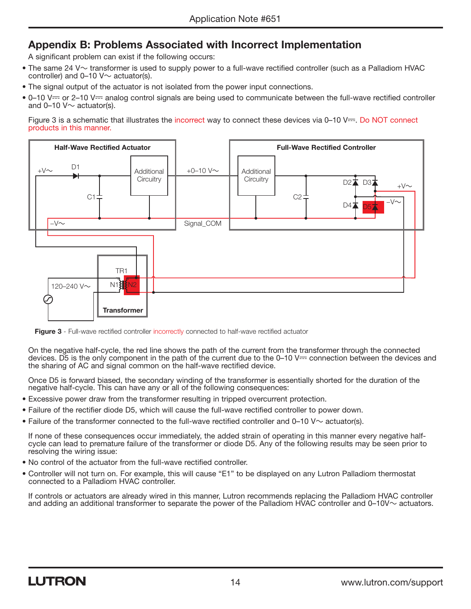## Appendix B: Problems Associated with Incorrect Implementation

A significant problem can exist if the following occurs:

- The same 24 V $\sim$  transformer is used to supply power to a full-wave rectified controller (such as a Palladiom HVAC controller) and  $0-10$  V $\sim$  actuator(s).
- The signal output of the actuator is not isolated from the power input connections.
- 0–10 V== or 2–10 V== analog control signals are being used to communicate between the full-wave rectified controller and 0-10  $V \sim$  actuator(s).

Figure 3 is a schematic that illustrates the incorrect way to connect these devices via  $0-10$  V $=$ . Do NOT connect products in this manner.



Figure 3 - Full-wave rectified controller incorrectly connected to half-wave rectified actuator

On the negative half-cycle, the red line shows the path of the current from the transformer through the connected devices. D5 is the only component in the path of the current due to the 0–10 V— connection between the devices and the sharing of AC and signal common on the half-wave rectified device.

Once D5 is forward biased, the secondary winding of the transformer is essentially shorted for the duration of the negative half-cycle. This can have any or all of the following consequences:

- Excessive power draw from the transformer resulting in tripped overcurrent protection.
- Failure of the rectifier diode D5, which will cause the full-wave rectified controller to power down.
- Failure of the transformer connected to the full-wave rectified controller and 0–10 V $\sim$  actuator(s).

If none of these consequences occur immediately, the added strain of operating in this manner every negative halfcycle can lead to premature failure of the transformer or diode D5. Any of the following results may be seen prior to resolving the wiring issue:

- No control of the actuator from the full-wave rectified controller.
- Controller will not turn on. For example, this will cause "E1" to be displayed on any Lutron Palladiom thermostat connected to a Palladiom HVAC controller.

If controls or actuators are already wired in this manner, Lutron recommends replacing the Palladiom HVAC controller and adding an additional transformer to separate the power of the Palladiom HVAC controller and  $0-10V \sim$  actuators.